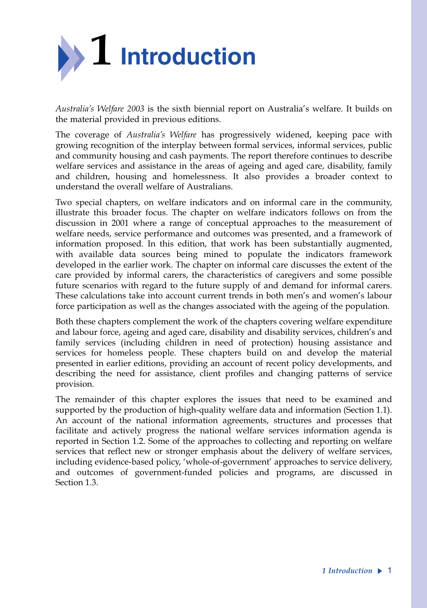

*Australia's Welfare 2003* is the sixth biennial report on Australia's welfare. It builds on the material provided in previous editions.

The coverage of *Australia's Welfare* has progressively widened, keeping pace with growing recognition of the interplay between formal services, informal services, public and community housing and cash payments. The report therefore continues to describe welfare services and assistance in the areas of ageing and aged care, disability, family and children, housing and homelessness. It also provides a broader context to understand the overall welfare of Australians.

Two special chapters, on welfare indicators and on informal care in the community, illustrate this broader focus. The chapter on welfare indicators follows on from the discussion in 2001 where a range of conceptual approaches to the measurement of welfare needs, service performance and outcomes was presented, and a framework of information proposed. In this edition, that work has been substantially augmented, with available data sources being mined to populate the indicators framework developed in the earlier work. The chapter on informal care discusses the extent of the care provided by informal carers, the characteristics of caregivers and some possible future scenarios with regard to the future supply of and demand for informal carers. These calculations take into account current trends in both men's and women's labour force participation as well as the changes associated with the ageing of the population.

Both these chapters complement the work of the chapters covering welfare expenditure and labour force, ageing and aged care, disability and disability services, children's and family services (including children in need of protection) housing assistance and services for homeless people. These chapters build on and develop the material presented in earlier editions, providing an account of recent policy developments, and describing the need for assistance, client profiles and changing patterns of service provision.

The remainder of this chapter explores the issues that need to be examined and supported by the production of high-quality welfare data and information (Section 1.1). An account of the national information agreements, structures and processes that facilitate and actively progress the national welfare services information agenda is reported in Section 1.2. Some of the approaches to collecting and reporting on welfare services that reflect new or stronger emphasis about the delivery of welfare services, including evidence-based policy, 'whole-of-government' approaches to service delivery, and outcomes of government-funded policies and programs, are discussed in Section 1.3.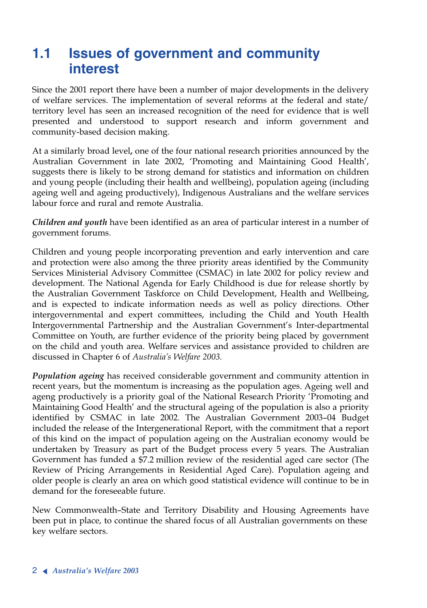# **1.1 Issues of government and community interest**

Since the 2001 report there have been a number of major developments in the delivery of welfare services. The implementation of several reforms at the federal and state/ territory level has seen an increased recognition of the need for evidence that is well presented and understood to support research and inform government and community-based decision making.

At a similarly broad level**,** one of the four national research priorities announced by the Australian Government in late 2002, 'Promoting and Maintaining Good Health', suggests there is likely to be strong demand for statistics and information on children and young people (including their health and wellbeing), population ageing (including ageing well and ageing productively), Indigenous Australians and the welfare services labour force and rural and remote Australia.

*Children and youth* have been identified as an area of particular interest in a number of government forums.

Children and young people incorporating prevention and early intervention and care and protection were also among the three priority areas identified by the Community Services Ministerial Advisory Committee (CSMAC) in late 2002 for policy review and development. The National Agenda for Early Childhood is due for release shortly by the Australian Government Taskforce on Child Development, Health and Wellbeing, and is expected to indicate information needs as well as policy directions. Other intergovernmental and expert committees, including the Child and Youth Health Intergovernmental Partnership and the Australian Government's Inter-departmental Committee on Youth, are further evidence of the priority being placed by government on the child and youth area. Welfare services and assistance provided to children are discussed in Chapter 6 of *Australia's Welfare 2003.*

*Population ageing* has received considerable government and community attention in recent years, but the momentum is increasing as the population ages. Ageing well and ageng productively is a priority goal of the National Research Priority 'Promoting and Maintaining Good Health' and the structural ageing of the population is also a priority identified by CSMAC in late 2002. The Australian Government 2003–04 Budget included the release of the Intergenerational Report, with the commitment that a report of this kind on the impact of population ageing on the Australian economy would be undertaken by Treasury as part of the Budget process every 5 years. The Australian Government has funded a \$7.2 million review of the residential aged care sector (The Review of Pricing Arrangements in Residential Aged Care). Population ageing and older people is clearly an area on which good statistical evidence will continue to be in demand for the foreseeable future.

New Commonwealth–State and Territory Disability and Housing Agreements have key welfare sectors. been pu<sup>t</sup> in place, to continue the shared focus of all Australian governments on these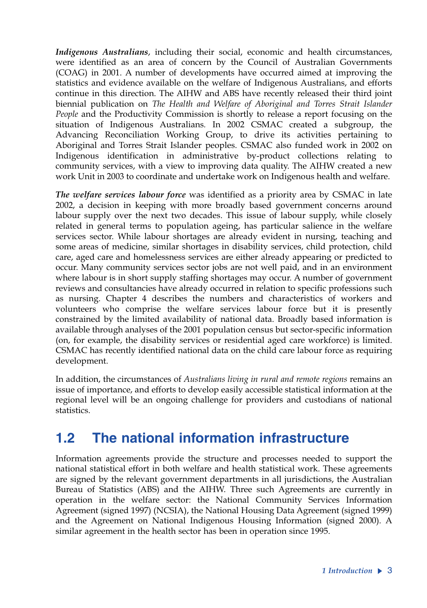*Indigenous Australians*, including their social, economic and health circumstances, were identified as an area of concern by the Council of Australian Governments (COAG) in 2001. A number of developments have occurred aimed at improving the statistics and evidence available on the welfare of Indigenous Australians, and efforts continue in this direction. The AIHW and ABS have recently released their third joint biennial publication on *The Health and Welfare of Aboriginal and Torres Strait Islander People* and the Productivity Commission is shortly to release a report focusing on the situation of Indigenous Australians*.* In 2002 CSMAC created a subgroup, the Advancing Reconciliation Working Group, to drive its activities pertaining to Aboriginal and Torres Strait Islander peoples. CSMAC also funded work in 2002 on Indigenous identification in administrative by-product collections relating to community services, with a view to improving data quality. The AIHW created a new work Unit in 2003 to coordinate and undertake work on Indigenous health and welfare.

*The welfare services labour force* was identified as a priority area by CSMAC in late 2002, a decision in keeping with more broadly based government concerns around labour supply over the next two decades. This issue of labour supply, while closely related in general terms to population ageing, has particular salience in the welfare services sector. While labour shortages are already evident in nursing, teaching and some areas of medicine, similar shortages in disability services, child protection, child care, aged care and homelessness services are either already appearing or predicted to occur. Many community services sector jobs are not well paid, and in an environment where labour is in short supply staffing shortages may occur. A number of government reviews and consultancies have already occurred in relation to specific professions such as nursing. Chapter 4 describes the numbers and characteristics of workers and volunteers who comprise the welfare services labour force but it is presently constrained by the limited availability of national data. Broadly based information is available through analyses of the 2001 population census but sector-specific information (on, for example, the disability services or residential aged care workforce) is limited. CSMAC has recently identified national data on the child care labour force as requiring development.

In addition, the circumstances of *Australians living in rural and remote regions* remains an issue of importance, and efforts to develop easily accessible statistical information at the regional level will be an ongoing challenge for providers and custodians of national statistics.

## **1.2 The national information infrastructure**

Information agreements provide the structure and processes needed to support the national statistical effort in both welfare and health statistical work. These agreements are signed by the relevant government departments in all jurisdictions, the Australian Bureau of Statistics (ABS) and the AIHW. Three such Agreements are currently in operation in the welfare sector: the National Community Services Information Agreement (signed 1997) (NCSIA), the National Housing Data Agreement (signed 1999) and the Agreement on National Indigenous Housing Information (signed 2000). A similar agreement in the health sector has been in operation since 1995.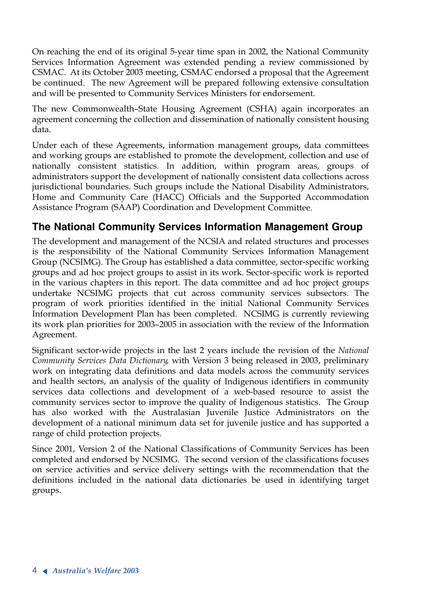On reaching the end of its original 5-year time span in 2002, the National Community Services Information Agreement was extended pending a review commissioned by CSMAC. At its October 2003 meeting, CSMAC endorsed a proposal that the Agreement be continued. The new Agreement will be prepared following extensive consultation and will be presented to Community Services Ministers for endorsement.

The new Commonwealth–State Housing Agreement (CSHA) again incorporates an agreement concerning the collection and dissemination of nationally consistent housing data.

Under each of these Agreements, information management groups, data committees and working groups are established to promote the development, collection and use of nationally consistent statistics. In addition, within program areas, groups of administrators support the development of nationally consistent data collections across jurisdictional boundaries. Such groups include the National Disability Administrators, Home and Community Care (HACC) Officials and the Supported Accommodation Assistance Program (SAAP) Coordination and Development Committee.

#### **The National Community Services Information Management Group**

The development and management of the NCSIA and related structures and processes is the responsibility of the National Community Services Information Management Group (NCSIMG). The Group has established a data committee, sector-specific working groups and ad hoc project groups to assist in its work. Sector-specific work is reported in the various chapters in this report. The data committee and ad hoc project groups undertake NCSIMG projects that cut across community services subsectors. The program of work priorities identified in the initial National Community Services Information Development Plan has been completed. NCSIMG is currently reviewing its work plan priorities for 2003–2005 in association with the review of the Information Agreement.

Significant sector-wide projects in the last 2 years include the revision of the *National Community Services Data Dictionary*, with Version 3 being released in 2003, preliminary work on integrating data definitions and data models across the community services and health sectors, an analysis of the quality of Indigenous identifiers in community services data collections and development of a web-based resource to assist the community services sector to improve the quality of Indigenous statistics. The Group has also worked with the Australasian Juvenile Justice Administrators on the development of a national minimum data set for juvenile justice and has supported a range of child protection projects.

Since 2001, Version 2 of the National Classifications of Community Services has been completed and endorsed by NCSIMG. The second version of the classifications focuses on service activities and service delivery settings with the recommendation that the definitions included in the national data dictionaries be used in identifying target groups.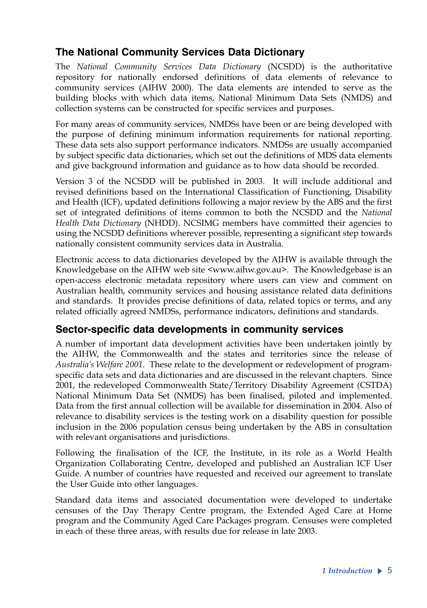### **The National Community Services Data Dictionary**

The *National Community Services Data Dictionary* (NCSDD) is the authoritative repository for nationally endorsed definitions of data elements of relevance to community services (AIHW 2000). The data elements are intended to serve as the building blocks with which data items, National Minimum Data Sets (NMDS) and collection systems can be constructed for specific services and purposes.

For many areas of community services, NMDSs have been or are being developed with the purpose of defining minimum information requirements for national reporting. These data sets also support performance indicators. NMDSs are usually accompanied by subject specific data dictionaries, which set out the definitions of MDS data elements and give background information and guidance as to how data should be recorded.

Version 3 of the NCSDD will be published in 2003. It will include additional and revised definitions based on the International Classification of Functioning, Disability and Health (ICF), updated definitions following a major review by the ABS and the first set of integrated definitions of items common to both the NCSDD and the *National Health Data Dictionary* (NHDD). NCSIMG members have committed their agencies to using the NCSDD definitions wherever possible, representing a significant step towards nationally consistent community services data in Australia.

Electronic access to data dictionaries developed by the AIHW is available through the Knowledgebase on the AIHW web site <www.aihw.gov.au>. The Knowledgebase is an open-access electronic metadata repository where users can view and comment on Australian health, community services and housing assistance related data definitions and standards. It provides precise definitions of data, related topics or terms, and any related officially agreed NMDSs, performance indicators, definitions and standards.

### **Sector-specific data developments in community services**

A number of important data development activities have been undertaken jointly by the AIHW, the Commonwealth and the states and territories since the release of *Australia's Welfare 2001*. These relate to the development or redevelopment of programspecific data sets and data dictionaries and are discussed in the relevant chapters. Since 2001, the redeveloped Commonwealth State/Territory Disability Agreement (CSTDA) National Minimum Data Set (NMDS) has been finalised, piloted and implemented. Data from the first annual collection will be available for dissemination in 2004. Also of relevance to disability services is the testing work on a disability question for possible inclusion in the 2006 population census being undertaken by the ABS in consultation with relevant organisations and jurisdictions.

Following the finalisation of the ICF, the Institute, in its role as a World Health Organization Collaborating Centre, developed and published an Australian ICF User Guide. A number of countries have requested and received our agreement to translate the User Guide into other languages.

Standard data items and associated documentation were developed to undertake censuses of the Day Therapy Centre program, the Extended Aged Care at Home program and the Community Aged Care Packages program. Censuses were completed in each of these three areas, with results due for release in late 2003.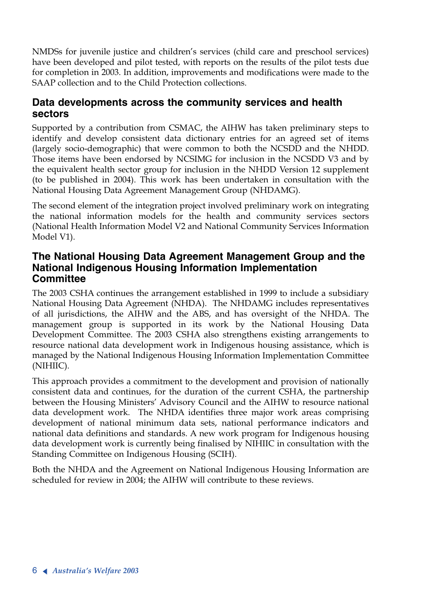NMDSs for juvenile justice and children's services (child care and preschool services) have been developed and pilot tested, with reports on the results of the pilot tests due for completion in 2003. In addition, improvements and modifications were made to the SAAP collection and to the Child Protection collections.

#### **Data developments across the community services and health sectors**

Supported by a contribution from CSMAC, the AIHW has taken preliminary steps to identify and develop consistent data dictionary entries for an agreed set of items (largely socio-demographic) that were common to both the NCSDD and the NHDD. Those items have been endorsed by NCSIMG for inclusion in the NCSDD V3 and by the equivalent health sector group for inclusion in the NHDD Version 12 supplement (to be published in 2004). This work has been undertaken in consultation with the National Housing Data Agreement Management Group (NHDAMG).

The second element of the integration project involved preliminary work on integrating the national information models for the health and community services sectors (National Health Information Model V2 and National Community Services Information Model V1).

#### **The National Housing Data Agreement Management Group and the National Indigenous Housing Information Implementation Committee**

The 2003 CSHA continues the arrangement established in 1999 to include a subsidiary National Housing Data Agreement (NHDA). The NHDAMG includes representatives of all jurisdictions, the AIHW and the ABS, and has oversight of the NHDA. The management group is supported in its work by the National Housing Data Development Committee. The 2003 CSHA also strengthens existing arrangements to resource national data development work in Indigenous housing assistance, which is managed by the National Indigenous Housing Information Implementation Committee (NIHIIC).

This approach provides a commitment to the development and provision of nationally consistent data and continues, for the duration of the current CSHA, the partnership between the Housing Ministers' Advisory Council and the AIHW to resource national data development work. The NHDA identifies three major work areas comprising development of national minimum data sets, national performance indicators and national data definitions and standards. A new work program for Indigenous housing data development work is currently being finalised by NIHIIC in consultation with the Standing Committee on Indigenous Housing (SCIH).

Both the NHDA and the Agreement on National Indigenous Housing Information are scheduled for review in 2004; the AIHW will contribute to these reviews.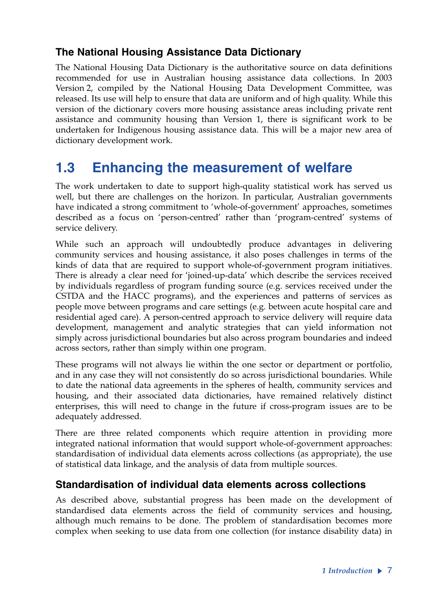#### **The National Housing Assistance Data Dictionary**

The National Housing Data Dictionary is the authoritative source on data definitions recommended for use in Australian housing assistance data collections. In 2003 Version 2, compiled by the National Housing Data Development Committee, was released. Its use will help to ensure that data are uniform and of high quality. While this version of the dictionary covers more housing assistance areas including private rent assistance and community housing than Version 1, there is significant work to be undertaken for Indigenous housing assistance data. This will be a major new area of dictionary development work.

## **1.3 Enhancing the measurement of welfare**

The work undertaken to date to support high-quality statistical work has served us well, but there are challenges on the horizon. In particular, Australian governments have indicated a strong commitment to 'whole-of-government' approaches, sometimes described as a focus on 'person-centred' rather than 'program-centred' systems of service delivery.

While such an approach will undoubtedly produce advantages in delivering community services and housing assistance, it also poses challenges in terms of the kinds of data that are required to support whole-of-government program initiatives. There is already a clear need for 'joined-up-data' which describe the services received by individuals regardless of program funding source (e.g. services received under the CSTDA and the HACC programs), and the experiences and patterns of services as people move between programs and care settings (e.g. between acute hospital care and residential aged care). A person-centred approach to service delivery will require data development, management and analytic strategies that can yield information not simply across jurisdictional boundaries but also across program boundaries and indeed across sectors, rather than simply within one program.

These programs will not always lie within the one sector or department or portfolio, and in any case they will not consistently do so across jurisdictional boundaries. While to date the national data agreements in the spheres of health, community services and housing, and their associated data dictionaries, have remained relatively distinct enterprises, this will need to change in the future if cross-program issues are to be adequately addressed.

There are three related components which require attention in providing more integrated national information that would support whole-of-government approaches: standardisation of individual data elements across collections (as appropriate), the use of statistical data linkage, and the analysis of data from multiple sources.

#### **Standardisation of individual data elements across collections**

As described above, substantial progress has been made on the development of standardised data elements across the field of community services and housing, although much remains to be done. The problem of standardisation becomes more complex when seeking to use data from one collection (for instance disability data) in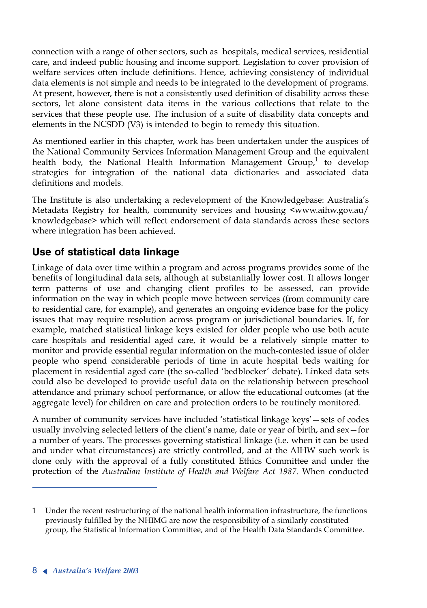connection with a range of other sectors, such as hospitals, medical services, residential care, and indeed public housing and income support. Legislation to cover provision of welfare services often include definitions. Hence, achieving consistency of individual data elements is not simple and needs to be integrated to the development of programs. At present, however, there is not a consistently used definition of disability across these sectors, let alone consistent data items in the various collections that relate to the services that these people use. The inclusion of a suite of disability data concepts and elements in the NCSDD (V3) is intended to begin to remedy this situation.

As mentioned earlier in this chapter, work has been undertaken under the auspices of the National Community Services Information Management Group and the equivalent health body, the National Health Information Management  $Group<sup>1</sup>$  to develop strategies for integration of the national data dictionaries and associated data definitions and models.

The Institute is also undertaking a redevelopment of the Knowledgebase: Australia's Metadata Registry for health, community services and housing <www.aihw.gov.au/ knowledgebase> which will reflect endorsement of data standards across these sectors where integration has been achieved.

### **Use of statistical data linkage**

Linkage of data over time within a program and across programs provides some of the benefits of longitudinal data sets, although at substantially lower cost. It allows longer term patterns of use and changing client profiles to be assessed, can provide information on the way in which people move between services (from community care to residential care, for example), and generates an ongoing evidence base for the policy issues that may require resolution across program or jurisdictional boundaries. If, for example, matched statistical linkage keys existed for older people who use both acute care hospitals and residential aged care, it would be a relatively simple matter to monitor and provide essential regular information on the much-contested issue of older people who spend considerable periods of time in acute hospital beds waiting for placement in residential aged care (the so-called 'bedblocker' debate). Linked data sets could also be developed to provide useful data on the relationship between preschool attendance and primary school performance, or allow the educational outcomes (at the aggregate level) for children on care and protection orders to be routinely monitored.

<sup>A</sup> number of community services have included 'statistical linkage keys'—sets of codes usually involving selected letters of the client's name, date or year of birth, and sex—for a number of years. The processes governing statistical linkage (i.e. when it can be used and under what circumstances) are strictly controlled, and at the AIHW such work is done only with the approval of a fully constituted Ethics Committee and under the protection of the *Australian Institute of Health and Welfare Act 1987*. When conducted

<sup>1</sup> Under the recent restructuring of the national health information infrastructure, the functions previously fulfilled by the NHIMG are now the responsibility of a similarly constituted group, the Statistical Information Committee, and of the Health Data Standards Committee.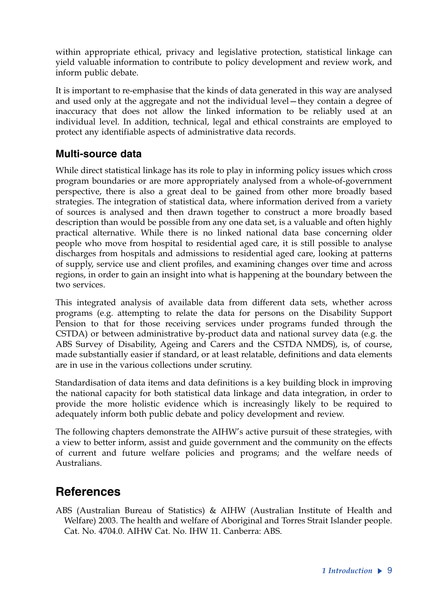within appropriate ethical, privacy and legislative protection, statistical linkage can yield valuable information to contribute to policy development and review work, and inform public debate.

It is important to re-emphasise that the kinds of data generated in this way are analysed and used only at the aggregate and not the individual level—they contain a degree of inaccuracy that does not allow the linked information to be reliably used at an individual level. In addition, technical, legal and ethical constraints are employed to protect any identifiable aspects of administrative data records.

#### **Multi-source data**

While direct statistical linkage has its role to play in informing policy issues which cross program boundaries or are more appropriately analysed from a whole-of-government perspective, there is also a great deal to be gained from other more broadly based strategies. The integration of statistical data, where information derived from a variety of sources is analysed and then drawn together to construct a more broadly based description than would be possible from any one data set, is a valuable and often highly practical alternative. While there is no linked national data base concerning older people who move from hospital to residential aged care, it is still possible to analyse discharges from hospitals and admissions to residential aged care, looking at patterns of supply, service use and client profiles, and examining changes over time and across regions, in order to gain an insight into what is happening at the boundary between the two services.

This integrated analysis of available data from different data sets, whether across programs (e.g. attempting to relate the data for persons on the Disability Support Pension to that for those receiving services under programs funded through the CSTDA) or between administrative by-product data and national survey data (e.g. the ABS Survey of Disability, Ageing and Carers and the CSTDA NMDS), is, of course, made substantially easier if standard, or at least relatable, definitions and data elements are in use in the various collections under scrutiny.

Standardisation of data items and data definitions is a key building block in improving the national capacity for both statistical data linkage and data integration, in order to provide the more holistic evidence which is increasingly likely to be required to adequately inform both public debate and policy development and review.

The following chapters demonstrate the AIHW's active pursuit of these strategies, with a view to better inform, assist and guide government and the community on the effects of current and future welfare policies and programs; and the welfare needs of Australians.

## **References**

ABS (Australian Bureau of Statistics) & AIHW (Australian Institute of Health and Welfare) 2003. The health and welfare of Aboriginal and Torres Strait Islander people. Cat. No. 4704.0. AIHW Cat. No. IHW 11. Canberra: ABS.